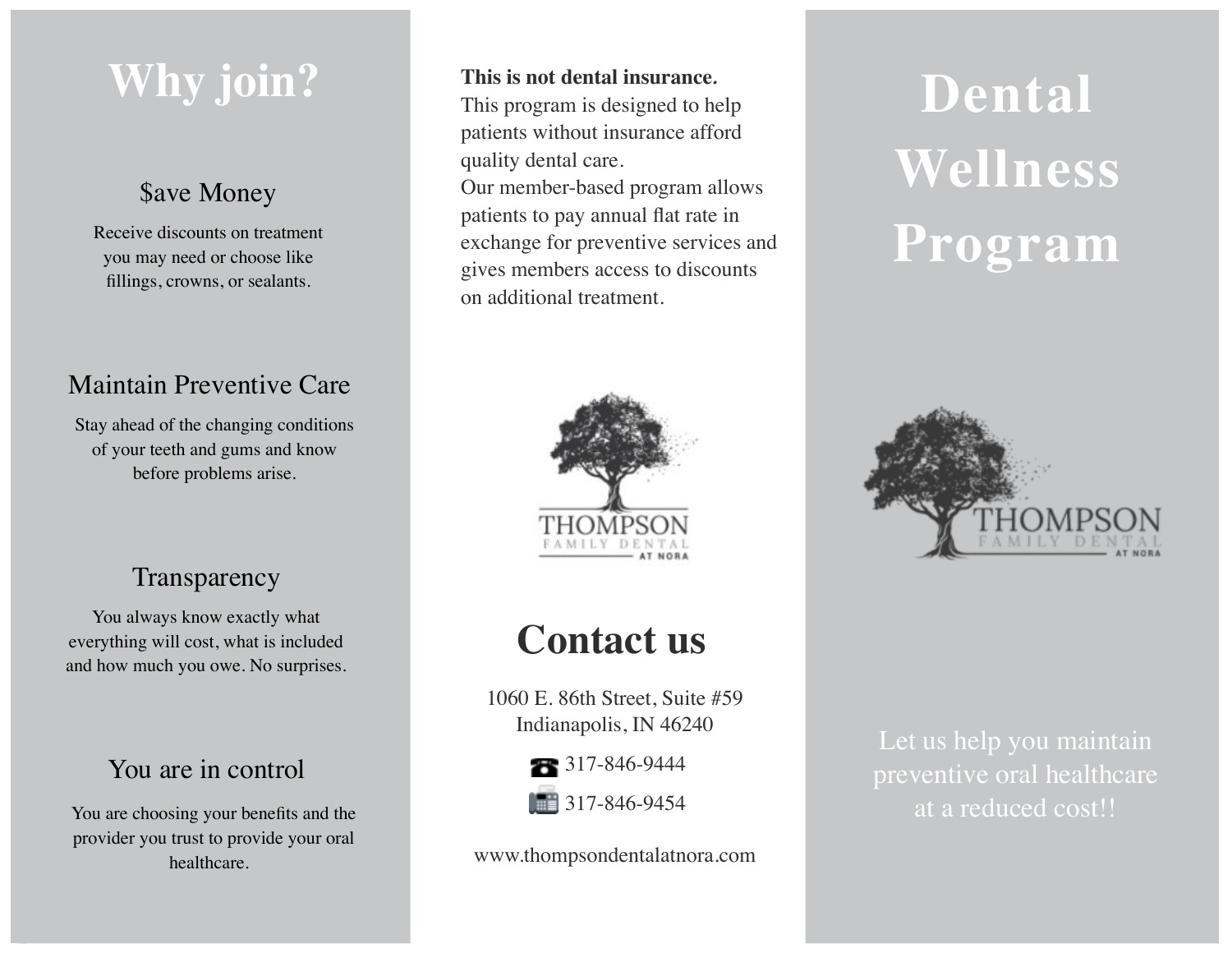# **Why join?** This is not dental insurance.<br>This program is designed to help<br>Dental

## \$ave Money

Receive discounts on treatmentyou may need or choose like fillings, crowns, or sealants.

# Maintain Preventive Care

Stay ahead of the changing conditions of your teeth and gums and know before problems arise.

# **Transparency**

You always know exactly what everything will cost, what is included and how much you owe. No surprises.

# You are in control

You are choosing your benefits and the provider you trust to provide your oral healthcare.

#### **This is not dental insurance***.*

This program is designed to help patients without insurance afford quality dental care.

Our member-based program allows patients to pay annual flat rate in exchange for preventive services and gives members access to discounts on additional treatment.



# **Contact us**

1060 E. 86th Street, Suite #59 Indianapolis, IN 46240



www.thompsondentalatnora.com

# **Wellness Program**



Let us help you maintain preventive oral healthcare at a reduced cost!!